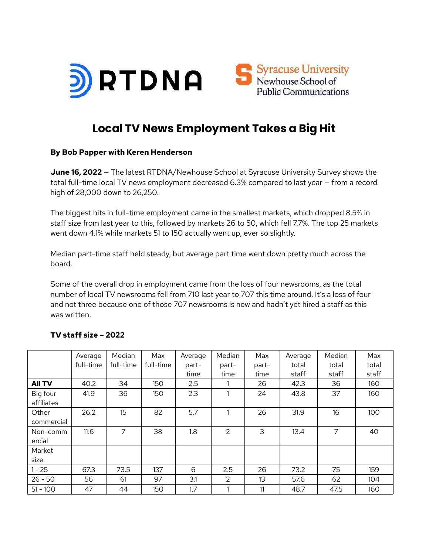



# **Local TV News Employment Takes a Big Hit**

# **By Bob Papper with Keren Henderson**

**June 16, 2022** — The latest RTDNA/Newhouse School at Syracuse University Survey shows the total full-time local TV news employment decreased 6.3% compared to last year — from a record high of 28,000 down to 26,250.

The biggest hits in full-time employment came in the smallest markets, which dropped 8.5% in staff size from last year to this, followed by markets 26 to 50, which fell 7.7%. The top 25 markets went down 4.1% while markets 51 to 150 actually went up, ever so slightly.

Median part-time staff held steady, but average part time went down pretty much across the board.

Some of the overall drop in employment came from the loss of four newsrooms, as the total number of local TV newsrooms fell from 710 last year to 707 this time around. It's a loss of four and not three because one of those 707 newsrooms is new and hadn't yet hired a staff as this was written.

|               | Average   | Median    | Max       | Average | Median         | Max   | Average | Median | Max   |
|---------------|-----------|-----------|-----------|---------|----------------|-------|---------|--------|-------|
|               | full-time | full-time | full-time | part-   | part-          | part- | total   | total  | total |
|               |           |           |           | time    | time           | time  | staff   | staff  | staff |
| <b>All TV</b> | 40.2      | 34        | 150       | 2.5     |                | 26    | 42.3    | 36     | 160   |
| Big four      | 41.9      | 36        | 150       | 2.3     |                | 24    | 43.8    | 37     | 160   |
| affiliates    |           |           |           |         |                |       |         |        |       |
| Other         | 26.2      | 15        | 82        | 5.7     |                | 26    | 31.9    | 16     | 100   |
| commercial    |           |           |           |         |                |       |         |        |       |
| Non-comm      | 11.6      | 7         | 38        | 1.8     | 2              | 3     | 13.4    | 7      | 40    |
| ercial        |           |           |           |         |                |       |         |        |       |
| Market        |           |           |           |         |                |       |         |        |       |
| size:         |           |           |           |         |                |       |         |        |       |
| $1 - 25$      | 67.3      | 73.5      | 137       | 6       | 2.5            | 26    | 73.2    | 75     | 159   |
| $26 - 50$     | 56        | 61        | 97        | 3.1     | $\overline{2}$ | 13    | 57.6    | 62     | 104   |
| $51 - 100$    | 47        | 44        | 150       | 1.7     |                | 11    | 48.7    | 47.5   | 160   |

# **TV staff size – 2022**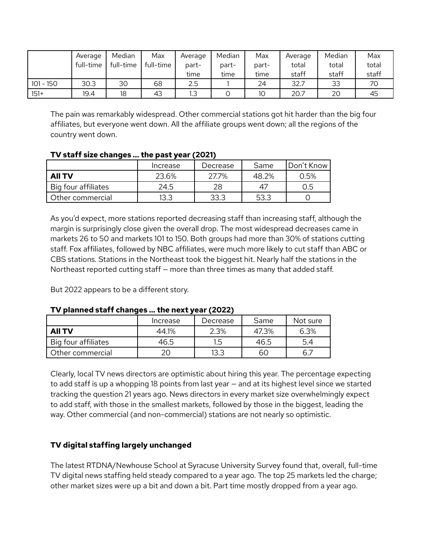|             | Average   | Median    | Max       | Average | Median | Max   | Average | Median | Max   |
|-------------|-----------|-----------|-----------|---------|--------|-------|---------|--------|-------|
|             | full-time | full-time | full-time | part-   | part-  | part- | total   | total  | total |
|             |           |           |           | time    | time   | time  | staff   | staff  | staff |
| $101 - 150$ | 30.3      | 30        | 68        | 2.5     |        | 24    | 32.7    | 33     | 70    |
| $151+$      | 19.4      | 18        | 43        | 1.3     |        | 10    | 20.7    | 20     | 45    |

The pain was remarkably widespread. Other commercial stations got hit harder than the big four affiliates, but everyone went down. All the affiliate groups went down; all the regions of the country went down.

|                     | Increase       | Decrease | Same  | Don't Know |  |  |
|---------------------|----------------|----------|-------|------------|--|--|
| <b>All TV</b>       | 23.6%<br>27.7% |          | 48.2% | 0.5%       |  |  |
| Big four affiliates | 24.5           | 28       |       | 0.5        |  |  |
| Other commercial    | 13.3           | 33.3     | 53.3  |            |  |  |

# **TV staff size changes … the past year (2021)**

As you'd expect, more stations reported decreasing staff than increasing staff, although the margin is surprisingly close given the overall drop. The most widespread decreases came in markets 26 to 50 and markets 101 to 150. Both groups had more than 30% of stations cutting staff. Fox affiliates, followed by NBC affiliates, were much more likely to cut staff than ABC or CBS stations. Stations in the Northeast took the biggest hit. Nearly half the stations in the Northeast reported cutting staff — more than three times as many that added staff.

But 2022 appears to be a different story.

| TV pidniled Start Gildriges  the next year (2022) |          |            |       |          |  |  |
|---------------------------------------------------|----------|------------|-------|----------|--|--|
|                                                   | Increase | Decrease   | Same  | Not sure |  |  |
| <b>All TV</b>                                     | 44.1%    | 2.3%       | 47.3% | 6.3%     |  |  |
| Big four affiliates                               | 46.5     | 15<br>ل. ا | 46.5  | 5.4      |  |  |

Other commercial  $\begin{array}{|c|c|c|c|c|c|c|c|c|} \hline \text{O} & \text{O} & \text{O} & \text{O} & \text{O} & \text{O} \ \hline \end{array}$ 

# **TV planned staff changes … the next year (2022)**

Clearly, local TV news directors are optimistic about hiring this year. The percentage expecting to add staff is up a whopping 18 points from last year — and at its highest level since we started tracking the question 21 years ago. News directors in every market size overwhelmingly expect to add staff, with those in the smallest markets, followed by those in the biggest, leading the way. Other commercial (and non-commercial) stations are not nearly so optimistic.

# **TV digital staffing largely unchanged**

The latest RTDNA/Newhouse School at Syracuse University Survey found that, overall, full-time TV digital news staffing held steady compared to a year ago. The top 25 markets led the charge; other market sizes were up a bit and down a bit. Part time mostly dropped from a year ago.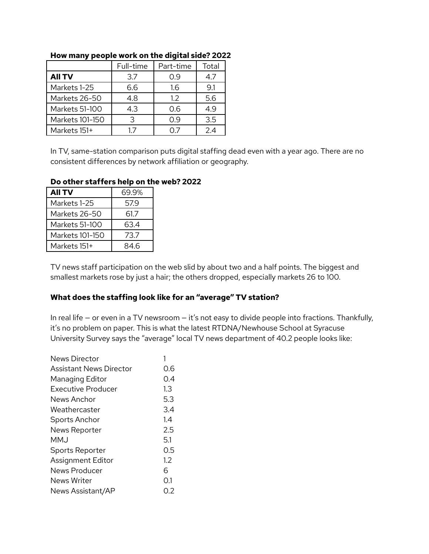|                       | Full-time | Part-time | Total |
|-----------------------|-----------|-----------|-------|
| <b>All TV</b>         | 37        | 09        | 47    |
| Markets 1-25          | 6.6       | 1.6       | 9.1   |
| Markets 26-50         | 4.8       | 1.2       | 5.6   |
| <b>Markets 51-100</b> | 4.3       | 0.6       | 49    |
| Markets 101-150       | っ         | ი 9       | 3.5   |
| Markets 151+          | ⊂ו        |           | 74    |

# **How many people work on the digital side? 2022**

In TV, same-station comparison puts digital staffing dead even with a year ago. There are no consistent differences by network affiliation or geography.

| <b>All TV</b>   | 69.9% |
|-----------------|-------|
| Markets 1-25    | 57.9  |
| Markets 26-50   | 61.7  |
| Markets 51-100  | 63.4  |
| Markets 101-150 | 73.7  |
| Markets 151+    | 84 6  |

# **Do other staffers help on the web? 2022**

TV news staff participation on the web slid by about two and a half points. The biggest and smallest markets rose by just a hair; the others dropped, especially markets 26 to 100.

#### **What does the staffing look like for an "average" TV station?**

In real life — or even in a TV newsroom — it's not easy to divide people into fractions. Thankfully, it's no problem on paper. This is what the latest RTDNA/Newhouse School at Syracuse University Survey says the "average" local TV news department of 40.2 people looks like:

| 0.6     |
|---------|
| 0.4     |
| $1.3\,$ |
| 5.3     |
| 3.4     |
| 1.4     |
| 2.5     |
| 5.1     |
| 0.5     |
| 1.2     |
| 6       |
| 0.1     |
| ი 2     |
|         |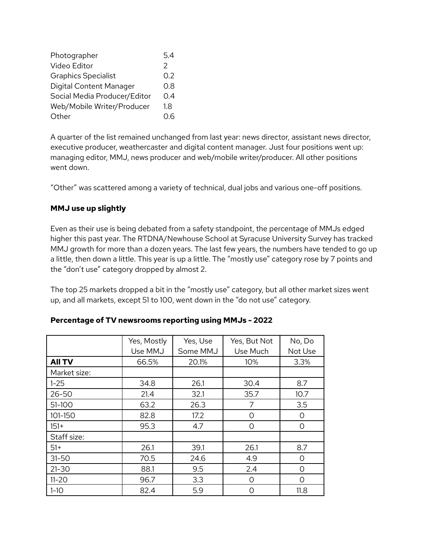| Photographer                   | 54            |
|--------------------------------|---------------|
| Video Editor                   | $\mathcal{P}$ |
| <b>Graphics Specialist</b>     | 0.2           |
| <b>Digital Content Manager</b> | 0.8           |
| Social Media Producer/Editor   | O 4           |
| Web/Mobile Writer/Producer     | 1.8           |
| Other                          | ೧ 6           |

A quarter of the list remained unchanged from last year: news director, assistant news director, executive producer, weathercaster and digital content manager. Just four positions went up: managing editor, MMJ, news producer and web/mobile writer/producer. All other positions went down.

"Other" was scattered among a variety of technical, dual jobs and various one-off positions.

# **MMJ use up slightly**

Even as their use is being debated from a safety standpoint, the percentage of MMJs edged higher this past year. The RTDNA/Newhouse School at Syracuse University Survey has tracked MMJ growth for more than a dozen years. The last few years, the numbers have tended to go up a little, then down a little. This year is up a little. The "mostly use" category rose by 7 points and the "don't use" category dropped by almost 2.

The top 25 markets dropped a bit in the "mostly use" category, but all other market sizes went up, and all markets, except 51 to 100, went down in the "do not use" category.

|               | Yes, Mostly | Yes, Use | Yes, But Not | No, Do  |
|---------------|-------------|----------|--------------|---------|
|               | Use MMJ     | Some MMJ | Use Much     | Not Use |
| <b>All TV</b> | 66.5%       | 20.1%    | 10%          | 3.3%    |
| Market size:  |             |          |              |         |
| $1 - 25$      | 34.8        | 26.1     | 30.4         | 8.7     |
| $26 - 50$     | 21.4        | 32.1     | 35.7         | 10.7    |
| $51 - 100$    | 63.2        | 26.3     | 7            | 3.5     |
| 101-150       | 82.8        | 17.2     | $\Omega$     | O       |
| $151 +$       | 95.3        | 4.7      | $\Omega$     | O       |
| Staff size:   |             |          |              |         |
| $51+$         | 26.1        | 39.1     | 26.1         | 8.7     |
| $31 - 50$     | 70.5        | 24.6     | 4.9          | Ω       |
| $21 - 30$     | 88.1        | 9.5      | 2.4          | Ω       |
| $11 - 20$     | 96.7        | 3.3      | Ω            | Ω       |
| $1 - 10$      | 82.4        | 5.9      | $\Omega$     | 11.8    |

#### **Percentage of TV newsrooms reporting using MMJs - 2022**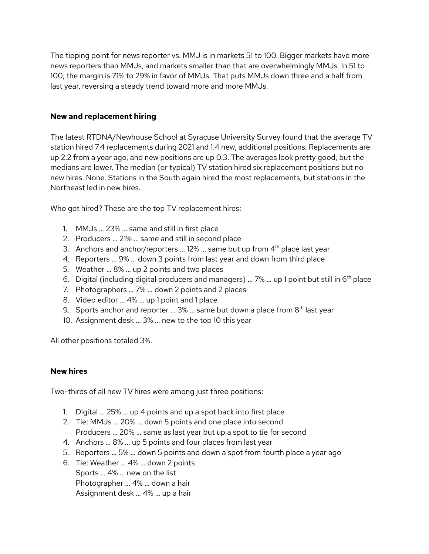The tipping point for news reporter vs. MMJ is in markets 51 to 100. Bigger markets have more news reporters than MMJs, and markets smaller than that are overwhelmingly MMJs. In 51 to 100, the margin is 71% to 29% in favor of MMJs. That puts MMJs down three and a half from last year, reversing a steady trend toward more and more MMJs.

## **New and replacement hiring**

The latest RTDNA/Newhouse School at Syracuse University Survey found that the average TV station hired 7.4 replacements during 2021 and 1.4 new, additional positions. Replacements are up 2.2 from a year ago, and new positions are up 0.3. The averages look pretty good, but the medians are lower. The median (or typical) TV station hired six replacement positions but no new hires. None. Stations in the South again hired the most replacements, but stations in the Northeast led in new hires.

Who got hired? These are the top TV replacement hires:

- 1. MMJs … 23% … same and still in first place
- 2. Producers … 21% … same and still in second place
- 3. Anchors and anchor/reporters ... 12% ... same but up from  $4^{\text{th}}$  place last year
- 4. Reporters … 9% … down 3 points from last year and down from third place
- 5. Weather … 8% … up 2 points and two places
- 6. Digital (including digital producers and managers) ... 7% ... up 1 point but still in 6<sup>th</sup> place
- 7. Photographers … 7% … down 2 points and 2 places
- 8. Video editor … 4% … up 1 point and 1 place
- 9.  $\,$  Sports anchor and reporter ... 3% ... same but down a place from  $8^\text{th}$  last year
- 10. Assignment desk … 3% … new to the top 10 this year

All other positions totaled 3%.

#### **New hires**

Two-thirds of all new TV hires were among just three positions:

- 1. Digital … 25% … up 4 points and up a spot back into first place
- 2. Tie: MMJs … 20% … down 5 points and one place into second Producers … 20% … same as last year but up a spot to tie for second
- 4. Anchors … 8% … up 5 points and four places from last year
- 5. Reporters … 5% … down 5 points and down a spot from fourth place a year ago
- 6. Tie: Weather … 4% … down 2 points Sports … 4% … new on the list Photographer … 4% … down a hair Assignment desk … 4% … up a hair